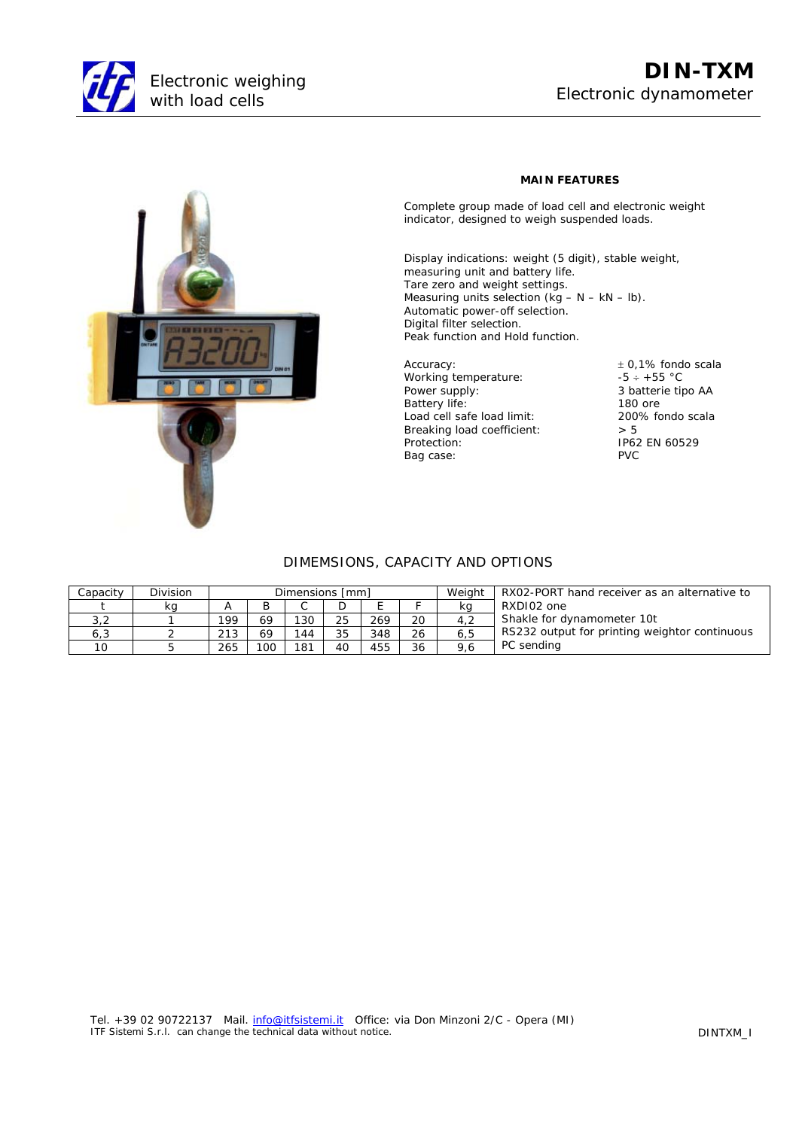

## **DIN-TXM** Electronic dynamometer



## **MAIN FEATURES**

Complete group made of load cell and electronic weight indicator, designed to weigh suspended loads.

Display indications: weight (5 digit), stable weight, measuring unit and battery life. Tare zero and weight settings. Measuring units selection  $(kg - N - kN - lb)$ . Automatic power-off selection. Digital filter selection. Peak function and Hold function.

Accuracy:  $\pm 0.1\%$  fondo scala<br>Working temperature:  $-5 \div 55$  °C Working temperature: Power supply: Battery life: Load cell safe load limit: 200<br>Breaking load coefficient:  $> 5$ Breaking load coefficient: Protection: IP62 EN 60529<br>Bag case: IP62 EN 60529 Bag case:

3 batterie tipo AA 180 ore<br>200% fondo scala

## DIMEMSIONS, CAPACITY AND OPTIONS

| Capacity | Division | Dimensions [mm] |     |     |    |     |    | Weight | RX02-PORT hand receiver as an alternative to  |
|----------|----------|-----------------|-----|-----|----|-----|----|--------|-----------------------------------------------|
|          | ka       |                 |     |     |    |     |    | ka     | RXDI02 one                                    |
| 3,2      |          | 199             |     | 130 | 25 | 269 | 20 | 4.2    | Shakle for dynamometer 10t                    |
| 6,3      |          | 213             | 69  | 144 | 35 | 348 | 26 | 6, 5   | RS232 output for printing weightor continuous |
| 10       |          | 265             | 100 | 181 | 40 | 455 | 36 | 9.6    | PC sending                                    |